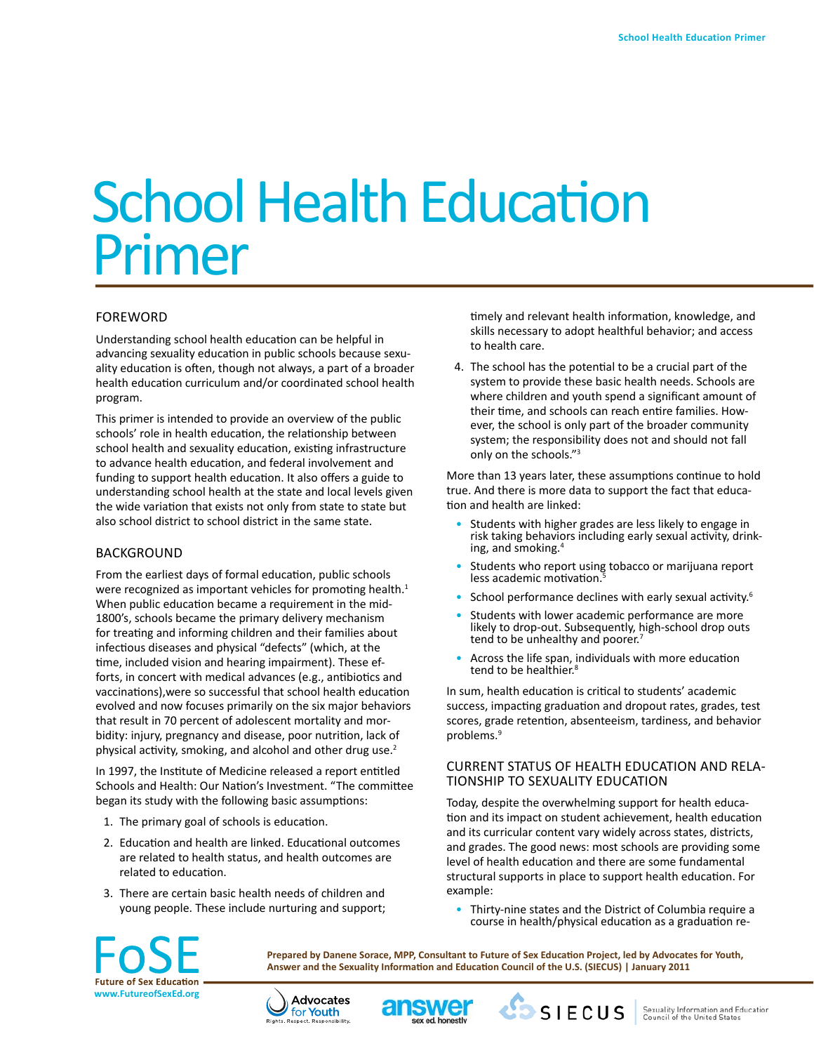# School Health Education Primer

# FOREWORD

Understanding school health education can be helpful in advancing sexuality education in public schools because sexuality education is often, though not always, a part of a broader health education curriculum and/or coordinated school health program.

This primer is intended to provide an overview of the public schools' role in health education, the relationship between school health and sexuality education, existing infrastructure to advance health education, and federal involvement and funding to support health education. It also offers a guide to understanding school health at the state and local levels given the wide variation that exists not only from state to state but also school district to school district in the same state.

#### BACKGROUND

From the earliest days of formal education, public schools were recognized as important vehicles for promoting health.<sup>1</sup> When public education became a requirement in the mid-1800's, schools became the primary delivery mechanism for treating and informing children and their families about infectious diseases and physical "defects" (which, at the time, included vision and hearing impairment). These efforts, in concert with medical advances (e.g., antibiotics and vaccinations),were so successful that school health education evolved and now focuses primarily on the six major behaviors that result in 70 percent of adolescent mortality and morbidity: injury, pregnancy and disease, poor nutrition, lack of physical activity, smoking, and alcohol and other drug use.<sup>2</sup>

In 1997, the Institute of Medicine released a report entitled Schools and Health: Our Nation's Investment. "The committee began its study with the following basic assumptions:

- 1. The primary goal of schools is education.
- 2. Education and health are linked. Educational outcomes are related to health status, and health outcomes are related to education.
- 3. There are certain basic health needs of children and young people. These include nurturing and support;

timely and relevant health information, knowledge, and skills necessary to adopt healthful behavior; and access to health care.

4. The school has the potential to be a crucial part of the system to provide these basic health needs. Schools are where children and youth spend a significant amount of their time, and schools can reach entire families. However, the school is only part of the broader community system; the responsibility does not and should not fall only on the schools."<sup>3</sup>

More than 13 years later, these assumptions continue to hold true. And there is more data to support the fact that education and health are linked:

- Students with higher grades are less likely to engage in risk taking behaviors including early sexual activity, drink-<br>ing, and smoking.<sup>4</sup>
- Students who report using tobacco or marijuana report less academic motivation.
- School performance declines with early sexual activity.<sup>6</sup>
- Students with lower academic performance are more likely to drop-out. Subsequently, high-school drop outs tend to be unhealthy and poorer.<sup>7</sup>
- Across the life span, individuals with more education tend to be healthier.<sup>8</sup>

In sum, health education is critical to students' academic success, impacting graduation and dropout rates, grades, test scores, grade retention, absenteeism, tardiness, and behavior problems.9

#### CURRENT STATUS OF HEALTH EDUCATION AND RELA-TIONSHIP TO SEXUALITY EDUCATION

Today, despite the overwhelming support for health education and its impact on student achievement, health education and its curricular content vary widely across states, districts, and grades. The good news: most schools are providing some level of health education and there are some fundamental structural supports in place to support health education. For example:

• Thirty-nine states and the District of Columbia require a course in health/physical education as a graduation re-

**1**



**Prepared by Danene Sorace, MPP, Consultant to Future of Sex Education Project, led by Advocates for Youth, Answer and the Sexuality Information and Education Council of the U.S. (SIECUS) | January 2011**



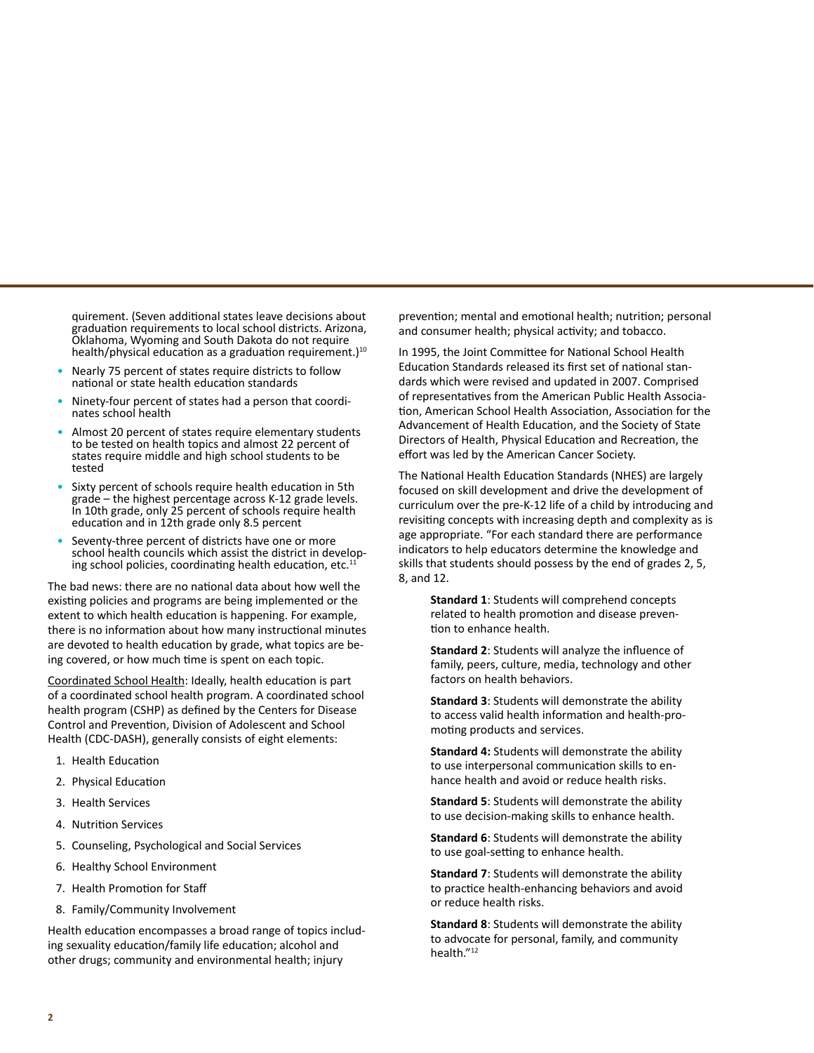quirement. (Seven additional states leave decisions about graduation requirements to local school districts. Arizona, Oklahoma, Wyoming and South Dakota do not require health/physical education as a graduation requirement.)<sup>10</sup>

- Nearly 75 percent of states require districts to follow national or state health education standards
- Ninety-four percent of states had a person that coordi- nates school health
- Almost 20 percent of states require elementary students to be tested on health topics and almost 22 percent of states require middle and high school students to be tested
- Sixty percent of schools require health education in 5th grade – the highest percentage across K-12 grade levels. In 10th grade, only 25 percent of schools require health education and in 12th grade only 8.5 percent
- Seventy-three percent of districts have one or more school health councils which assist the district in developing school policies, coordinating health education, etc.<sup>11</sup>

The bad news: there are no national data about how well the existing policies and programs are being implemented or the extent to which health education is happening. For example, there is no information about how many instructional minutes are devoted to health education by grade, what topics are being covered, or how much time is spent on each topic.

Coordinated School Health: Ideally, health education is part of a coordinated school health program. A coordinated school health program (CSHP) as defined by the Centers for Disease Control and Prevention, Division of Adolescent and School Health (CDC-DASH), generally consists of eight elements:

- 1. Health Education
- 2. Physical Education
- 3. Health Services
- 4. Nutrition Services
- 5. Counseling, Psychological and Social Services
- 6. Healthy School Environment
- 7. Health Promotion for Staff
- 8. Family/Community Involvement

Health education encompasses a broad range of topics including sexuality education/family life education; alcohol and other drugs; community and environmental health; injury

prevention; mental and emotional health; nutrition; personal and consumer health; physical activity; and tobacco.

In 1995, the Joint Committee for National School Health Education Standards released its first set of national standards which were revised and updated in 2007. Comprised of representatives from the American Public Health Association, American School Health Association, Association for the Advancement of Health Education, and the Society of State Directors of Health, Physical Education and Recreation, the effort was led by the American Cancer Society.

The National Health Education Standards (NHES) are largely focused on skill development and drive the development of curriculum over the pre-K-12 life of a child by introducing and revisiting concepts with increasing depth and complexity as is age appropriate. "For each standard there are performance indicators to help educators determine the knowledge and skills that students should possess by the end of grades 2, 5, 8, and 12.

**Standard 1**: Students will comprehend concepts related to health promotion and disease prevention to enhance health.

**Standard 2**: Students will analyze the influence of family, peers, culture, media, technology and other factors on health behaviors.

**Standard 3**: Students will demonstrate the ability to access valid health information and health-promoting products and services.

**Standard 4:** Students will demonstrate the ability to use interpersonal communication skills to enhance health and avoid or reduce health risks.

**Standard 5**: Students will demonstrate the ability to use decision-making skills to enhance health.

**Standard 6**: Students will demonstrate the ability to use goal-setting to enhance health.

**Standard 7**: Students will demonstrate the ability to practice health-enhancing behaviors and avoid or reduce health risks.

**Standard 8**: Students will demonstrate the ability to advocate for personal, family, and community health."12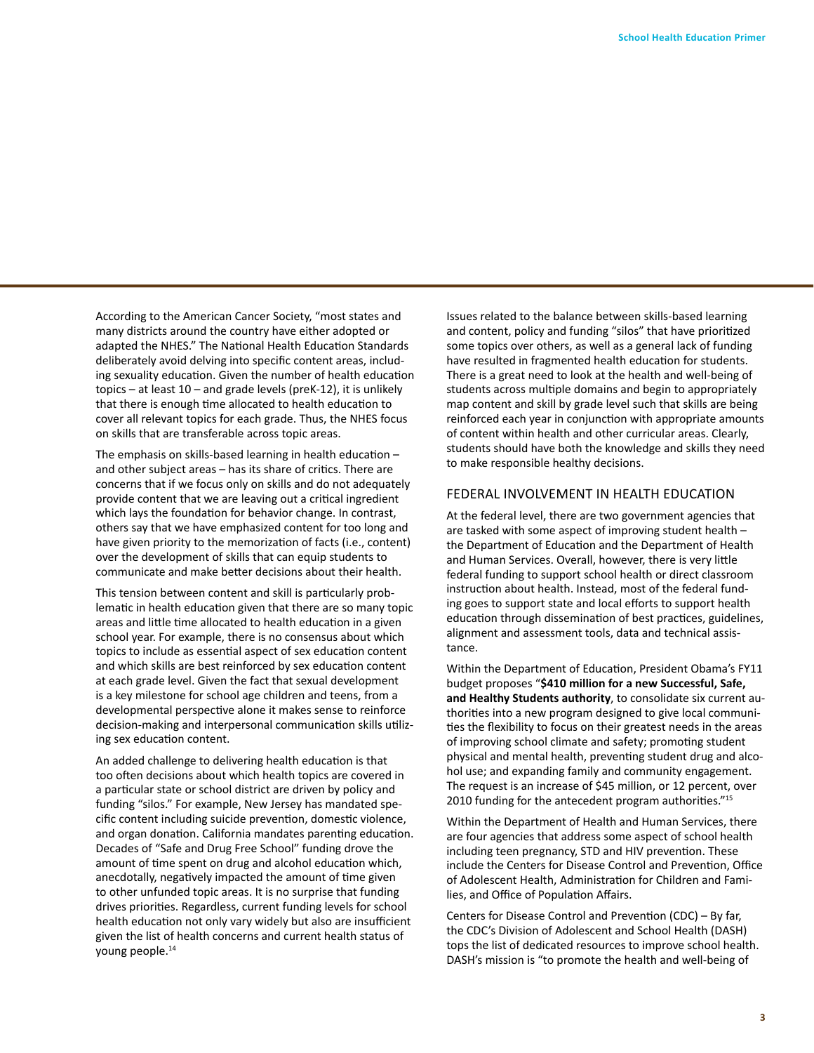According to the American Cancer Society, "most states and many districts around the country have either adopted or adapted the NHES." The National Health Education Standards deliberately avoid delving into specific content areas, including sexuality education. Given the number of health education topics – at least 10 – and grade levels (preK-12), it is unlikely that there is enough time allocated to health education to cover all relevant topics for each grade. Thus, the NHES focus on skills that are transferable across topic areas.

The emphasis on skills-based learning in health education – and other subject areas – has its share of critics. There are concerns that if we focus only on skills and do not adequately provide content that we are leaving out a critical ingredient which lays the foundation for behavior change. In contrast, others say that we have emphasized content for too long and have given priority to the memorization of facts (i.e., content) over the development of skills that can equip students to communicate and make better decisions about their health.

This tension between content and skill is particularly problematic in health education given that there are so many topic areas and little time allocated to health education in a given school year. For example, there is no consensus about which topics to include as essential aspect of sex education content and which skills are best reinforced by sex education content at each grade level. Given the fact that sexual development is a key milestone for school age children and teens, from a developmental perspective alone it makes sense to reinforce decision-making and interpersonal communication skills utilizing sex education content.

An added challenge to delivering health education is that too often decisions about which health topics are covered in a particular state or school district are driven by policy and funding "silos." For example, New Jersey has mandated specific content including suicide prevention, domestic violence, and organ donation. California mandates parenting education. Decades of "Safe and Drug Free School" funding drove the amount of time spent on drug and alcohol education which, anecdotally, negatively impacted the amount of time given to other unfunded topic areas. It is no surprise that funding drives priorities. Regardless, current funding levels for school health education not only vary widely but also are insufficient given the list of health concerns and current health status of young people.<sup>14</sup>

Issues related to the balance between skills-based learning and content, policy and funding "silos" that have prioritized some topics over others, as well as a general lack of funding have resulted in fragmented health education for students. There is a great need to look at the health and well-being of students across multiple domains and begin to appropriately map content and skill by grade level such that skills are being reinforced each year in conjunction with appropriate amounts of content within health and other curricular areas. Clearly, students should have both the knowledge and skills they need to make responsible healthy decisions.

## FEDERAL INVOLVEMENT IN HEALTH EDUCATION

At the federal level, there are two government agencies that are tasked with some aspect of improving student health – the Department of Education and the Department of Health and Human Services. Overall, however, there is very little federal funding to support school health or direct classroom instruction about health. Instead, most of the federal funding goes to support state and local efforts to support health education through dissemination of best practices, guidelines, alignment and assessment tools, data and technical assistance.

Within the Department of Education, President Obama's FY11 budget proposes "**\$410 million for a new Successful, Safe, and Healthy Students authority**, to consolidate six current authorities into a new program designed to give local communities the flexibility to focus on their greatest needs in the areas of improving school climate and safety; promoting student physical and mental health, preventing student drug and alcohol use; and expanding family and community engagement. The request is an increase of \$45 million, or 12 percent, over 2010 funding for the antecedent program authorities."<sup>15</sup>

Within the Department of Health and Human Services, there are four agencies that address some aspect of school health including teen pregnancy, STD and HIV prevention. These include the Centers for Disease Control and Prevention, Office of Adolescent Health, Administration for Children and Families, and Office of Population Affairs.

Centers for Disease Control and Prevention (CDC) – By far, the CDC's Division of Adolescent and School Health (DASH) tops the list of dedicated resources to improve school health. DASH's mission is "to promote the health and well-being of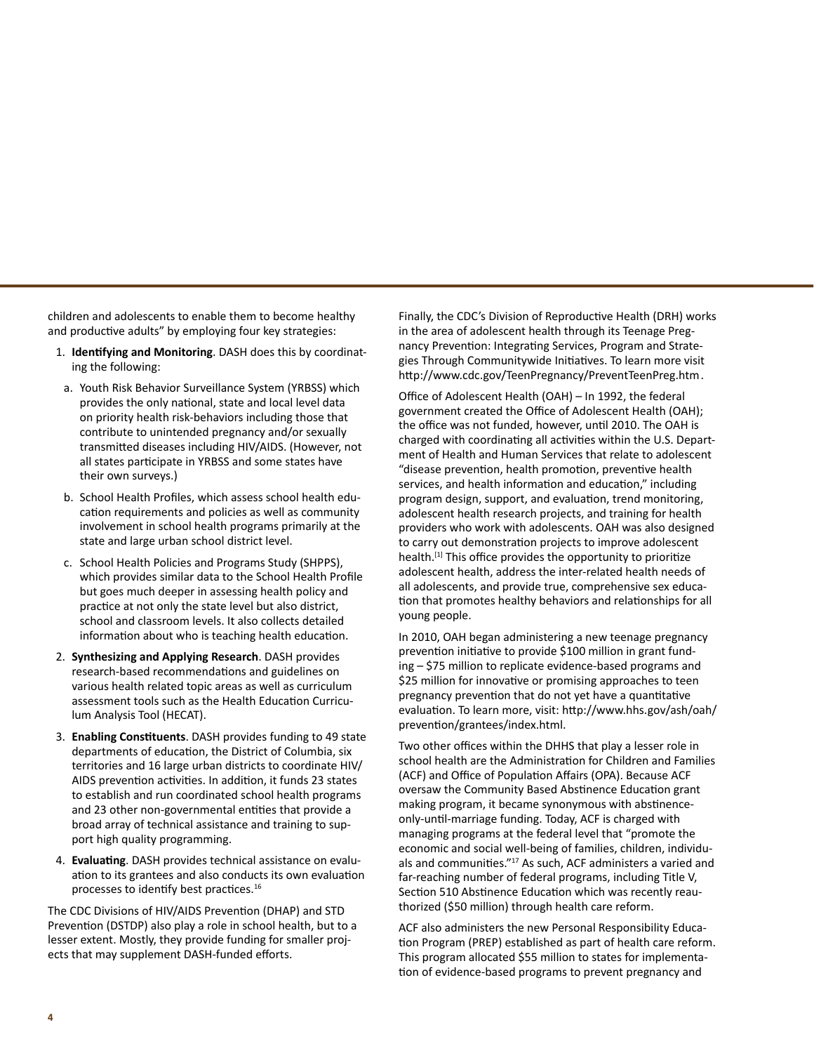children and adolescents to enable them to become healthy and productive adults" by employing four key strategies:

- 1. **Identifying and Monitoring**. DASH does this by coordinating the following:
- a. Youth Risk Behavior Surveillance System (YRBSS) which provides the only national, state and local level data on priority health risk-behaviors including those that contribute to unintended pregnancy and/or sexually transmitted diseases including HIV/AIDS. (However, not all states participate in YRBSS and some states have their own surveys.)
- b. School Health Profiles, which assess school health education requirements and policies as well as community involvement in school health programs primarily at the state and large urban school district level.
- c. School Health Policies and Programs Study (SHPPS), which provides similar data to the School Health Profile but goes much deeper in assessing health policy and practice at not only the state level but also district, school and classroom levels. It also collects detailed information about who is teaching health education.
- 2. **Synthesizing and Applying Research**. DASH provides research-based recommendations and guidelines on various health related topic areas as well as curriculum assessment tools such as the Health Education Curriculum Analysis Tool (HECAT).
- 3. **Enabling Constituents**. DASH provides funding to 49 state departments of education, the District of Columbia, six territories and 16 large urban districts to coordinate HIV/ AIDS prevention activities. In addition, it funds 23 states to establish and run coordinated school health programs and 23 other non-governmental entities that provide a broad array of technical assistance and training to support high quality programming.
- 4. **Evaluating**. DASH provides technical assistance on evaluation to its grantees and also conducts its own evaluation processes to identify best practices.<sup>16</sup>

The CDC Divisions of HIV/AIDS Prevention (DHAP) and STD Prevention (DSTDP) also play a role in school health, but to a lesser extent. Mostly, they provide funding for smaller projects that may supplement DASH-funded efforts.

Finally, the CDC's Division of Reproductive Health (DRH) works in the area of adolescent health through its Teenage Pregnancy Prevention: Integrating Services, Program and Strategies Through Communitywide Initiatives. To learn more visit http://www.cdc.gov/TeenPregnancy/PreventTeenPreg.htm.

Office of Adolescent Health (OAH) – In 1992, the federal government created the Office of Adolescent Health (OAH); the office was not funded, however, until 2010. The OAH is charged with coordinating all activities within the U.S. Department of Health and Human Services that relate to adolescent "disease prevention, health promotion, preventive health services, and health information and education," including program design, support, and evaluation, trend monitoring, adolescent health research projects, and training for health providers who work with adolescents. OAH was also designed to carry out demonstration projects to improve adolescent health.<sup>[1]</sup> This office provides the opportunity to prioritize adolescent health, address the inter-related health needs of all adolescents, and provide true, comprehensive sex education that promotes healthy behaviors and relationships for all young people.

In 2010, OAH began administering a new teenage pregnancy prevention initiative to provide \$100 million in grant funding – \$75 million to replicate evidence-based programs and \$25 million for innovative or promising approaches to teen pregnancy prevention that do not yet have a quantitative evaluation. To learn more, visit: http://www.hhs.gov/ash/oah/ prevention/grantees/index.html.

Two other offices within the DHHS that play a lesser role in school health are the Administration for Children and Families (ACF) and Office of Population Affairs (OPA). Because ACF oversaw the Community Based Abstinence Education grant making program, it became synonymous with abstinenceonly-until-marriage funding. Today, ACF is charged with managing programs at the federal level that "promote the economic and social well-being of families, children, individuals and communities."<sup>17</sup> As such, ACF administers a varied and far-reaching number of federal programs, including Title V, Section 510 Abstinence Education which was recently reauthorized (\$50 million) through health care reform.

ACF also administers the new Personal Responsibility Education Program (PREP) established as part of health care reform. This program allocated \$55 million to states for implementation of evidence-based programs to prevent pregnancy and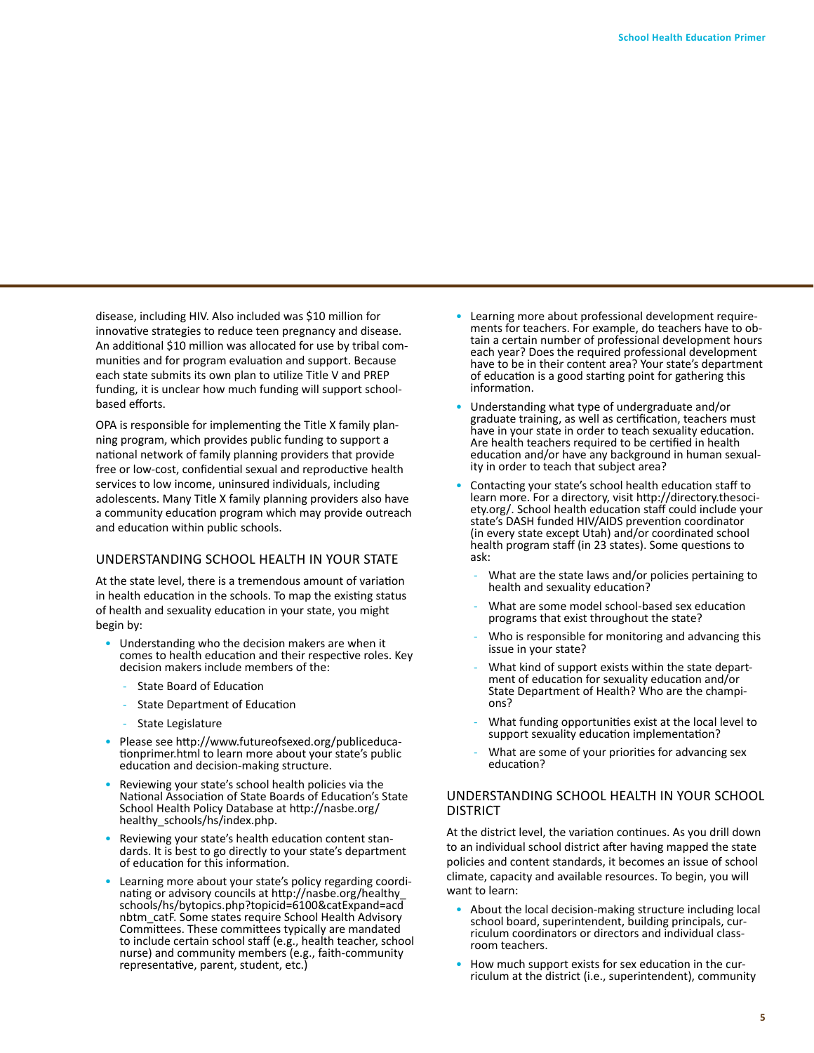disease, including HIV. Also included was \$10 million for innovative strategies to reduce teen pregnancy and disease. An additional \$10 million was allocated for use by tribal communities and for program evaluation and support. Because each state submits its own plan to utilize Title V and PREP funding, it is unclear how much funding will support schoolbased efforts.

OPA is responsible for implementing the Title X family planning program, which provides public funding to support a national network of family planning providers that provide free or low-cost, confidential sexual and reproductive health services to low income, uninsured individuals, including adolescents. Many Title X family planning providers also have a community education program which may provide outreach and education within public schools.

### UNDERSTANDING SCHOOL HEALTH IN YOUR STATE

At the state level, there is a tremendous amount of variation in health education in the schools. To map the existing status of health and sexuality education in your state, you might begin by:

- Understanding who the decision makers are when it comes to health education and their respective roles. Key decision makers include members of the:
	- State Board of Education
	- State Department of Education
	- State Legislature
- Please see http://www.futureofsexed.org/publiceduca- tionprimer.html to learn more about your state's public education and decision-making structure.
- Reviewing your state's school health policies via the National Association of State Boards of Education's State School Health Policy Database at http://nasbe.org/ healthy\_schools/hs/index.php.
- Reviewing your state's health education content stan- dards. It is best to go directly to your state's department of education for this information.
- Learning more about your state's policy regarding coordi- nating or advisory councils at http://nasbe.org/healthy\_ schools/hs/bytopics.php?topicid=6100&catExpand=acd nbtm\_catF. Some states require School Health Advisory Committees. These committees typically are mandated to include certain school staff (e.g., health teacher, school nurse) and community members (e.g., faith-community representative, parent, student, etc.)
- Learning more about professional development require- ments for teachers. For example, do teachers have to ob- tain a certain number of professional development hours each year? Does the required professional development have to be in their content area? Your state's department of education is a good starting point for gathering this information.
- Understanding what type of undergraduate and/or graduate training, as well as certification, teachers must have in your state in order to teach sexuality education. Are health teachers required to be certified in health education and/or have any background in human sexual- ity in order to teach that subject area?
- Contacting your state's school health education staff to learn more. For a directory, visit http://directory.thesociety.org/. School health education staff could include your state's DASH funded HIV/AIDS prevention coordinator (in every state except Utah) and/or coordinated school health program staff (in 23 states). Some questions to ask:
	- What are the state laws and/or policies pertaining to health and sexuality education?
	- What are some model school-based sex education programs that exist throughout the state?
	- Who is responsible for monitoring and advancing this issue in your state?
	- What kind of support exists within the state depart-<br>ment of education for sexuality education and/or State Department of Health? Who are the champi- ons?
	- What funding opportunities exist at the local level to support sexuality education implementation?
	- What are some of your priorities for advancing sex education?

### UNDERSTANDING SCHOOL HEALTH IN YOUR SCHOOL DISTRICT

At the district level, the variation continues. As you drill down to an individual school district after having mapped the state policies and content standards, it becomes an issue of school climate, capacity and available resources. To begin, you will want to learn:

- About the local decision-making structure including local school board, superintendent, building principals, cur- riculum coordinators or directors and individual class- room teachers.
- How much support exists for sex education in the cur- riculum at the district (i.e., superintendent), community